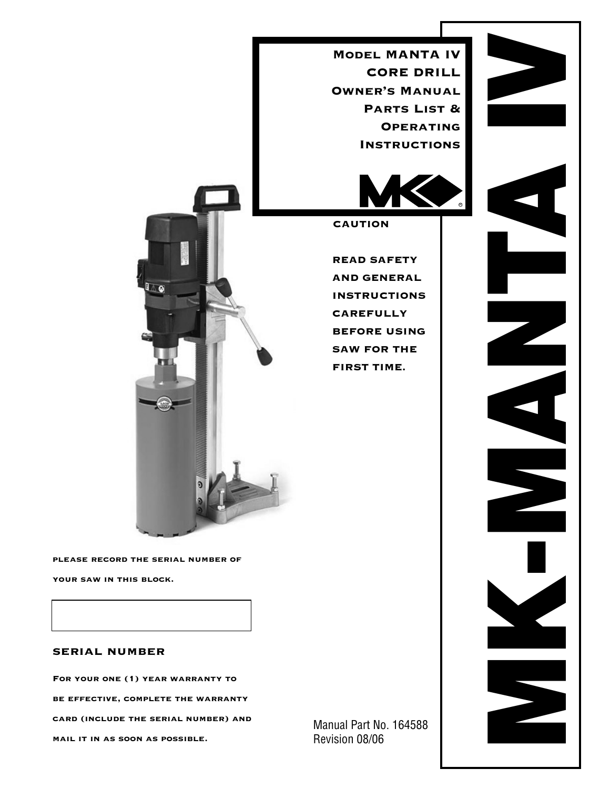Model MANTA IV CORE DRILL Owner's Manual PARTS LIST & **OPERATING INSTRUCTIONS** 



CAUTION

READ SAFETY AND GENERAL INSTRUCTIONS CAREFULLY BEFORE USING SAW FOR THE FIRST TIME.

please record the serial number of

l o

your saw in this block.

## serial number

For your one (1) year warranty to be effective, complete the warranty card (include the serial number) and mail it in as soon as possible.

Manual Part No. 164588 Revision 08/06

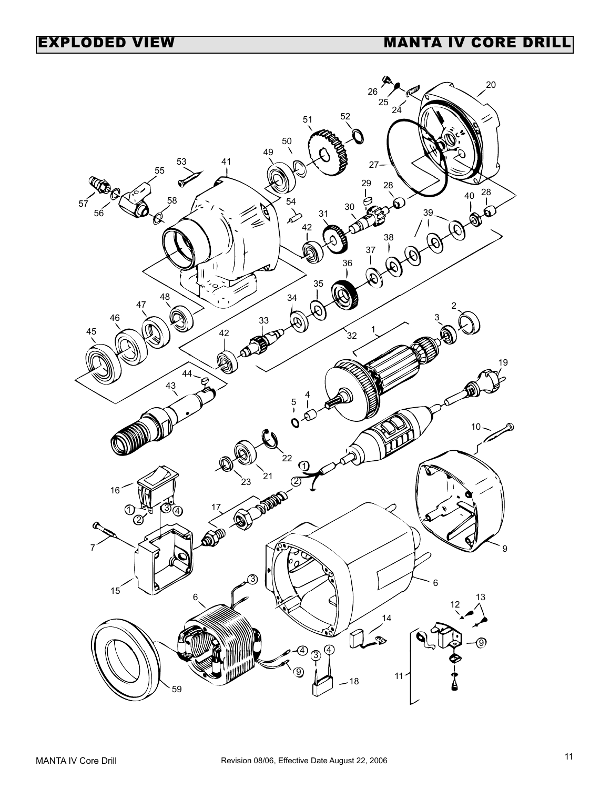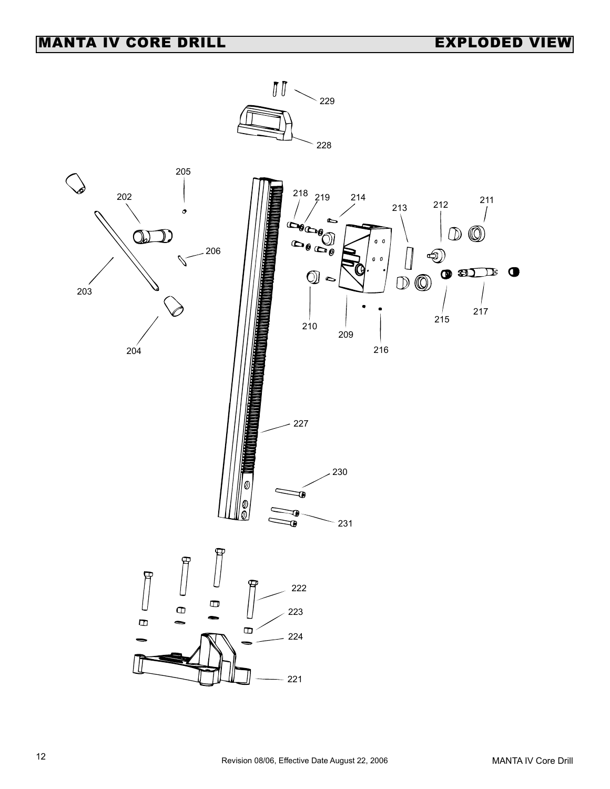## MANTA IV CORE DRILL **EXPLODED** VIEW

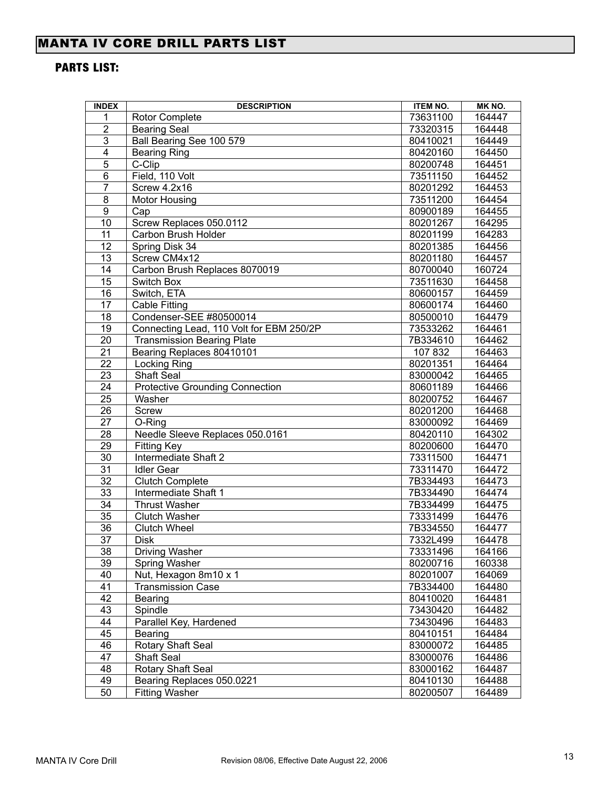## MANTA IV CORE DRILL PARTS LIST

## PARTS LIST:

| <b>INDEX</b>    | <b>DESCRIPTION</b>                       | <b>ITEM NO.</b> | MK NO. |
|-----------------|------------------------------------------|-----------------|--------|
| 1               | <b>Rotor Complete</b>                    | 73631100        | 164447 |
| $\overline{2}$  | <b>Bearing Seal</b>                      | 73320315        | 164448 |
| $\overline{3}$  | Ball Bearing See 100 579                 | 80410021        | 164449 |
| $\overline{4}$  | <b>Bearing Ring</b>                      | 80420160        | 164450 |
| $\overline{5}$  | C-Clip                                   | 80200748        | 164451 |
| 6               | Field, 110 Volt                          | 73511150        | 164452 |
| $\overline{7}$  | Screw 4.2x16                             | 80201292        | 164453 |
| $\overline{8}$  | <b>Motor Housing</b>                     | 73511200        | 164454 |
| $\overline{9}$  | Cap                                      | 80900189        | 164455 |
| 10              | Screw Replaces 050.0112                  | 80201267        | 164295 |
| 11              | Carbon Brush Holder                      | 80201199        | 164283 |
| $\overline{12}$ | Spring Disk 34                           | 80201385        | 164456 |
| 13              | Screw CM4x12                             | 80201180        | 164457 |
| 14              | Carbon Brush Replaces 8070019            | 80700040        | 160724 |
| $\overline{15}$ | Switch Box                               | 73511630        | 164458 |
| 16              | Switch, ETA                              | 80600157        | 164459 |
| 17              | <b>Cable Fitting</b>                     | 80600174        | 164460 |
| 18              | Condenser-SEE #80500014                  | 80500010        | 164479 |
| 19              | Connecting Lead, 110 Volt for EBM 250/2P | 73533262        | 164461 |
| 20              | <b>Transmission Bearing Plate</b>        | 7B334610        | 164462 |
| 21              | Bearing Replaces 80410101                | 107 832         | 164463 |
| 22              | Locking Ring                             | 80201351        | 164464 |
| 23              | <b>Shaft Seal</b>                        | 83000042        | 164465 |
| 24              | <b>Protective Grounding Connection</b>   | 80601189        | 164466 |
| 25              | Washer                                   | 80200752        | 164467 |
| 26              | Screw                                    | 80201200        | 164468 |
| 27              | O-Ring                                   | 83000092        | 164469 |
| 28              | Needle Sleeve Replaces 050.0161          | 80420110        | 164302 |
| 29              | <b>Fitting Key</b>                       | 80200600        | 164470 |
| 30              | Intermediate Shaft 2                     | 73311500        | 164471 |
| $\overline{31}$ | <b>Idler Gear</b>                        | 73311470        | 164472 |
| $\overline{32}$ | Clutch Complete                          | 7B334493        | 164473 |
| 33              | Intermediate Shaft 1                     | 7B334490        | 164474 |
| $\overline{34}$ | <b>Thrust Washer</b>                     | 7B334499        | 164475 |
| $\overline{35}$ | <b>Clutch Washer</b>                     | 73331499        | 164476 |
| $\overline{36}$ | <b>Clutch Wheel</b>                      | 7B334550        | 164477 |
| 37              | <b>Disk</b>                              | 7332L499        | 164478 |
| 38              | <b>Driving Washer</b>                    | 73331496        | 164166 |
| 39              | Spring Washer                            | 80200716        | 160338 |
| 40              | Nut, Hexagon 8m10 x 1                    | 80201007        | 164069 |
| 41              | <b>Transmission Case</b>                 | 7B334400        | 164480 |
| 42              | Bearing                                  | 80410020        | 164481 |
| 43              | Spindle                                  | 73430420        | 164482 |
| 44              | Parallel Key, Hardened                   | 73430496        | 164483 |
| 45              | Bearing                                  | 80410151        | 164484 |
| 46              | Rotary Shaft Seal                        | 83000072        | 164485 |
| 47              | Shaft Seal                               | 83000076        | 164486 |
| 48              | Rotary Shaft Seal                        | 83000162        | 164487 |
| 49              | Bearing Replaces 050.0221                | 80410130        | 164488 |
| 50              | <b>Fitting Washer</b>                    | 80200507        | 164489 |